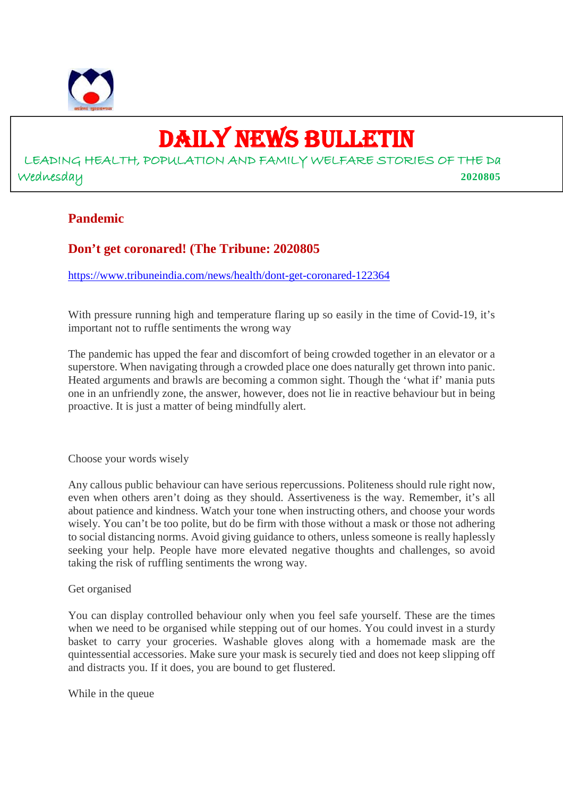

# DAILY NEWS BULLETIN

# LEADING HEALTH, POPULATION AND FAMILY WELFARE STORIES OF THE Da Wednesday **2020805**

#### **Pandemic**

# **Don't get coronared! (The Tribune: 2020805**

https://www.tribuneindia.com/news/health/dont-get-coronared-122364

With pressure running high and temperature flaring up so easily in the time of Covid-19, it's important not to ruffle sentiments the wrong way

The pandemic has upped the fear and discomfort of being crowded together in an elevator or a superstore. When navigating through a crowded place one does naturally get thrown into panic. Heated arguments and brawls are becoming a common sight. Though the 'what if' mania puts one in an unfriendly zone, the answer, however, does not lie in reactive behaviour but in being proactive. It is just a matter of being mindfully alert.

Choose your words wisely

Any callous public behaviour can have serious repercussions. Politeness should rule right now, even when others aren't doing as they should. Assertiveness is the way. Remember, it's all about patience and kindness. Watch your tone when instructing others, and choose your words wisely. You can't be too polite, but do be firm with those without a mask or those not adhering to social distancing norms. Avoid giving guidance to others, unless someone is really haplessly seeking your help. People have more elevated negative thoughts and challenges, so avoid taking the risk of ruffling sentiments the wrong way.

#### Get organised

You can display controlled behaviour only when you feel safe yourself. These are the times when we need to be organised while stepping out of our homes. You could invest in a sturdy basket to carry your groceries. Washable gloves along with a homemade mask are the quintessential accessories. Make sure your mask is securely tied and does not keep slipping off and distracts you. If it does, you are bound to get flustered.

While in the queue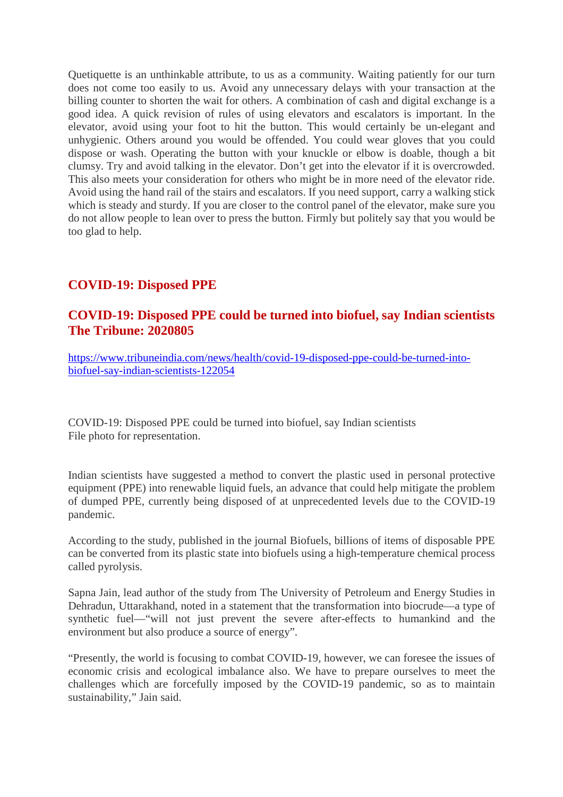Quetiquette is an unthinkable attribute, to us as a community. Waiting patiently for our turn does not come too easily to us. Avoid any unnecessary delays with your transaction at the billing counter to shorten the wait for others. A combination of cash and digital exchange is a good idea. A quick revision of rules of using elevators and escalators is important. In the elevator, avoid using your foot to hit the button. This would certainly be un-elegant and unhygienic. Others around you would be offended. You could wear gloves that you could dispose or wash. Operating the button with your knuckle or elbow is doable, though a bit clumsy. Try and avoid talking in the elevator. Don't get into the elevator if it is overcrowded. This also meets your consideration for others who might be in more need of the elevator ride. Avoid using the hand rail of the stairs and escalators. If you need support, carry a walking stick which is steady and sturdy. If you are closer to the control panel of the elevator, make sure you do not allow people to lean over to press the button. Firmly but politely say that you would be too glad to help.

# **COVID-19: Disposed PPE**

#### **COVID-19: Disposed PPE could be turned into biofuel, say Indian scientists The Tribune: 2020805**

https://www.tribuneindia.com/news/health/covid-19-disposed-ppe-could-be-turned-intobiofuel-say-indian-scientists-122054

COVID-19: Disposed PPE could be turned into biofuel, say Indian scientists File photo for representation.

Indian scientists have suggested a method to convert the plastic used in personal protective equipment (PPE) into renewable liquid fuels, an advance that could help mitigate the problem of dumped PPE, currently being disposed of at unprecedented levels due to the COVID-19 pandemic.

According to the study, published in the journal Biofuels, billions of items of disposable PPE can be converted from its plastic state into biofuels using a high-temperature chemical process called pyrolysis.

Sapna Jain, lead author of the study from The University of Petroleum and Energy Studies in Dehradun, Uttarakhand, noted in a statement that the transformation into biocrude—a type of synthetic fuel—"will not just prevent the severe after-effects to humankind and the environment but also produce a source of energy".

"Presently, the world is focusing to combat COVID-19, however, we can foresee the issues of economic crisis and ecological imbalance also. We have to prepare ourselves to meet the challenges which are forcefully imposed by the COVID-19 pandemic, so as to maintain sustainability," Jain said.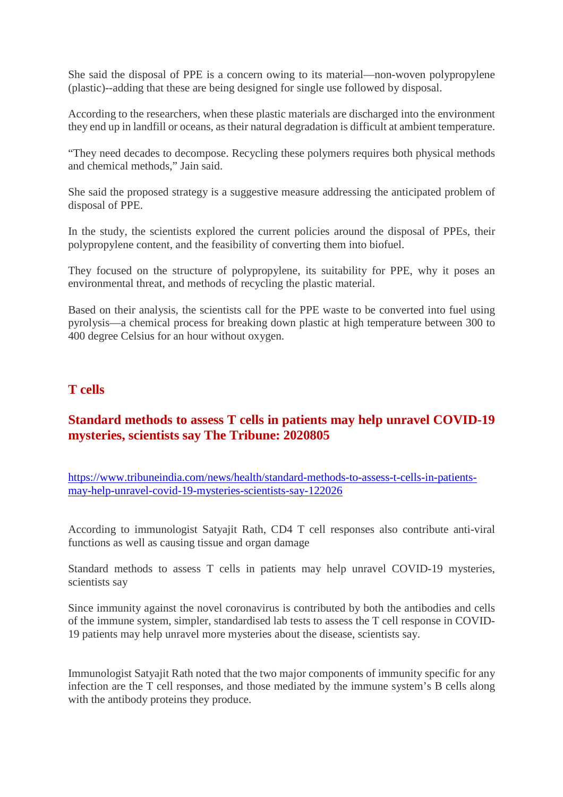She said the disposal of PPE is a concern owing to its material—non-woven polypropylene (plastic)--adding that these are being designed for single use followed by disposal.

According to the researchers, when these plastic materials are discharged into the environment they end up in landfill or oceans, as their natural degradation is difficult at ambient temperature.

"They need decades to decompose. Recycling these polymers requires both physical methods and chemical methods," Jain said.

She said the proposed strategy is a suggestive measure addressing the anticipated problem of disposal of PPE.

In the study, the scientists explored the current policies around the disposal of PPEs, their polypropylene content, and the feasibility of converting them into biofuel.

They focused on the structure of polypropylene, its suitability for PPE, why it poses an environmental threat, and methods of recycling the plastic material.

Based on their analysis, the scientists call for the PPE waste to be converted into fuel using pyrolysis—a chemical process for breaking down plastic at high temperature between 300 to 400 degree Celsius for an hour without oxygen.

#### **T cells**

#### **Standard methods to assess T cells in patients may help unravel COVID-19 mysteries, scientists say The Tribune: 2020805**

https://www.tribuneindia.com/news/health/standard-methods-to-assess-t-cells-in-patientsmay-help-unravel-covid-19-mysteries-scientists-say-122026

According to immunologist Satyajit Rath, CD4 T cell responses also contribute anti-viral functions as well as causing tissue and organ damage

Standard methods to assess T cells in patients may help unravel COVID-19 mysteries, scientists say

Since immunity against the novel coronavirus is contributed by both the antibodies and cells of the immune system, simpler, standardised lab tests to assess the T cell response in COVID-19 patients may help unravel more mysteries about the disease, scientists say.

Immunologist Satyajit Rath noted that the two major components of immunity specific for any infection are the T cell responses, and those mediated by the immune system's B cells along with the antibody proteins they produce.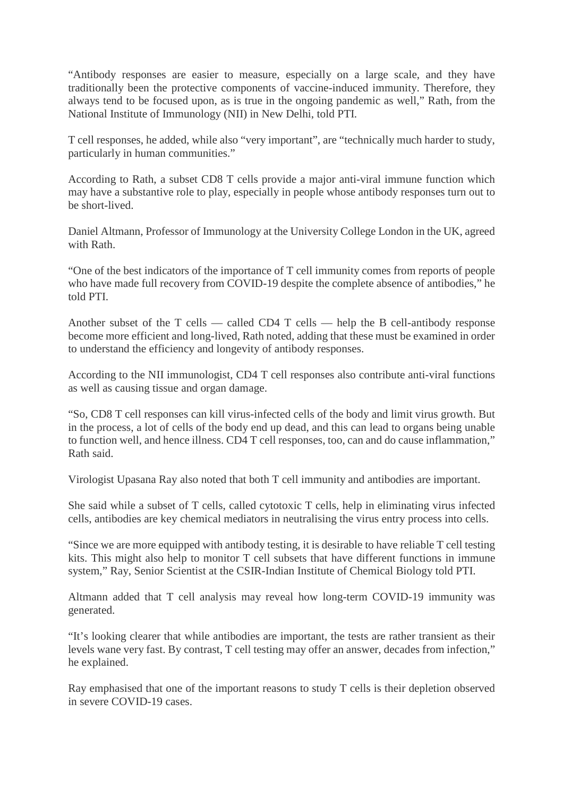"Antibody responses are easier to measure, especially on a large scale, and they have traditionally been the protective components of vaccine-induced immunity. Therefore, they always tend to be focused upon, as is true in the ongoing pandemic as well," Rath, from the National Institute of Immunology (NII) in New Delhi, told PTI.

T cell responses, he added, while also "very important", are "technically much harder to study, particularly in human communities."

According to Rath, a subset CD8 T cells provide a major anti-viral immune function which may have a substantive role to play, especially in people whose antibody responses turn out to be short-lived.

Daniel Altmann, Professor of Immunology at the University College London in the UK, agreed with Rath.

"One of the best indicators of the importance of T cell immunity comes from reports of people who have made full recovery from COVID-19 despite the complete absence of antibodies," he told PTI.

Another subset of the T cells — called CD4 T cells — help the B cell-antibody response become more efficient and long-lived, Rath noted, adding that these must be examined in order to understand the efficiency and longevity of antibody responses.

According to the NII immunologist, CD4 T cell responses also contribute anti-viral functions as well as causing tissue and organ damage.

"So, CD8 T cell responses can kill virus-infected cells of the body and limit virus growth. But in the process, a lot of cells of the body end up dead, and this can lead to organs being unable to function well, and hence illness. CD4 T cell responses, too, can and do cause inflammation," Rath said.

Virologist Upasana Ray also noted that both T cell immunity and antibodies are important.

She said while a subset of T cells, called cytotoxic T cells, help in eliminating virus infected cells, antibodies are key chemical mediators in neutralising the virus entry process into cells.

"Since we are more equipped with antibody testing, it is desirable to have reliable T cell testing kits. This might also help to monitor T cell subsets that have different functions in immune system," Ray, Senior Scientist at the CSIR-Indian Institute of Chemical Biology told PTI.

Altmann added that T cell analysis may reveal how long-term COVID-19 immunity was generated.

"It's looking clearer that while antibodies are important, the tests are rather transient as their levels wane very fast. By contrast, T cell testing may offer an answer, decades from infection," he explained.

Ray emphasised that one of the important reasons to study T cells is their depletion observed in severe COVID-19 cases.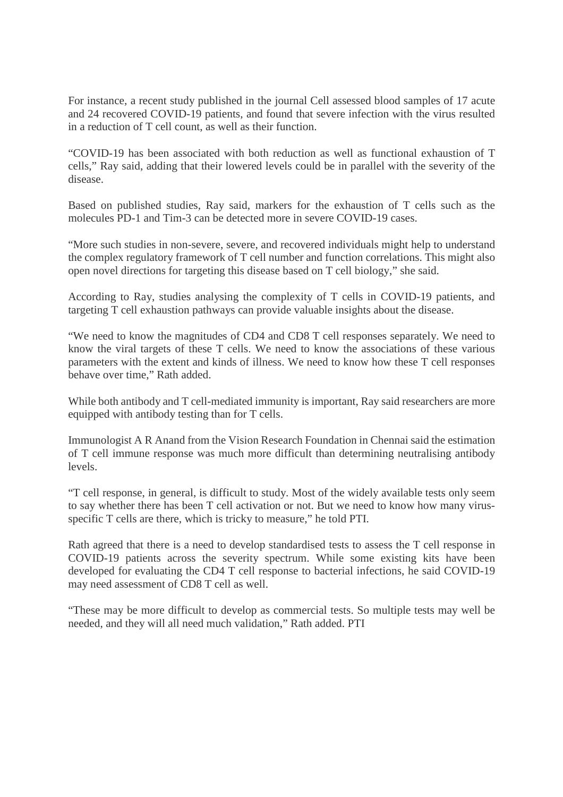For instance, a recent study published in the journal Cell assessed blood samples of 17 acute and 24 recovered COVID-19 patients, and found that severe infection with the virus resulted in a reduction of T cell count, as well as their function.

"COVID-19 has been associated with both reduction as well as functional exhaustion of T cells," Ray said, adding that their lowered levels could be in parallel with the severity of the disease.

Based on published studies, Ray said, markers for the exhaustion of T cells such as the molecules PD-1 and Tim-3 can be detected more in severe COVID-19 cases.

"More such studies in non-severe, severe, and recovered individuals might help to understand the complex regulatory framework of T cell number and function correlations. This might also open novel directions for targeting this disease based on T cell biology," she said.

According to Ray, studies analysing the complexity of T cells in COVID-19 patients, and targeting T cell exhaustion pathways can provide valuable insights about the disease.

"We need to know the magnitudes of CD4 and CD8 T cell responses separately. We need to know the viral targets of these T cells. We need to know the associations of these various parameters with the extent and kinds of illness. We need to know how these T cell responses behave over time," Rath added.

While both antibody and T cell-mediated immunity is important, Ray said researchers are more equipped with antibody testing than for T cells.

Immunologist A R Anand from the Vision Research Foundation in Chennai said the estimation of T cell immune response was much more difficult than determining neutralising antibody levels.

"T cell response, in general, is difficult to study. Most of the widely available tests only seem to say whether there has been T cell activation or not. But we need to know how many virusspecific T cells are there, which is tricky to measure," he told PTI.

Rath agreed that there is a need to develop standardised tests to assess the T cell response in COVID-19 patients across the severity spectrum. While some existing kits have been developed for evaluating the CD4 T cell response to bacterial infections, he said COVID-19 may need assessment of CD8 T cell as well.

"These may be more difficult to develop as commercial tests. So multiple tests may well be needed, and they will all need much validation," Rath added. PTI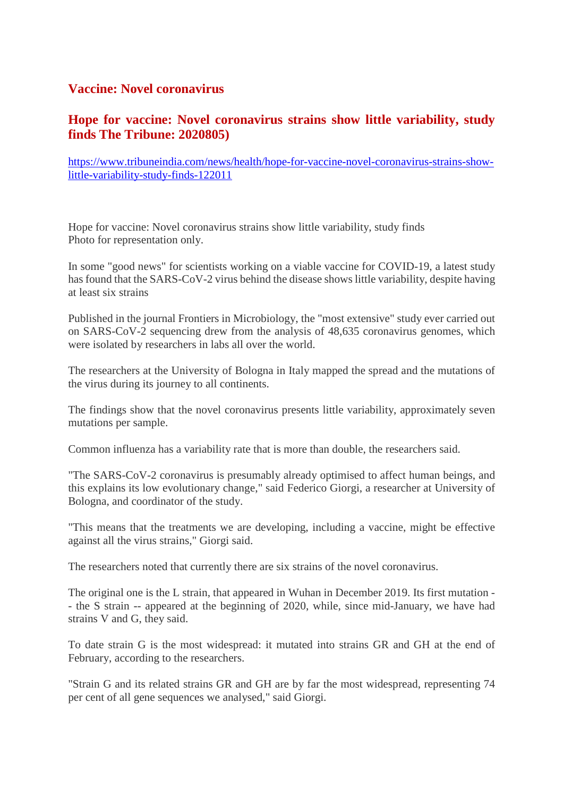#### **Vaccine: Novel coronavirus**

#### **Hope for vaccine: Novel coronavirus strains show little variability, study finds The Tribune: 2020805)**

https://www.tribuneindia.com/news/health/hope-for-vaccine-novel-coronavirus-strains-showlittle-variability-study-finds-122011

Hope for vaccine: Novel coronavirus strains show little variability, study finds Photo for representation only.

In some "good news" for scientists working on a viable vaccine for COVID-19, a latest study has found that the SARS-CoV-2 virus behind the disease shows little variability, despite having at least six strains

Published in the journal Frontiers in Microbiology, the "most extensive" study ever carried out on SARS-CoV-2 sequencing drew from the analysis of 48,635 coronavirus genomes, which were isolated by researchers in labs all over the world.

The researchers at the University of Bologna in Italy mapped the spread and the mutations of the virus during its journey to all continents.

The findings show that the novel coronavirus presents little variability, approximately seven mutations per sample.

Common influenza has a variability rate that is more than double, the researchers said.

"The SARS-CoV-2 coronavirus is presumably already optimised to affect human beings, and this explains its low evolutionary change," said Federico Giorgi, a researcher at University of Bologna, and coordinator of the study.

"This means that the treatments we are developing, including a vaccine, might be effective against all the virus strains," Giorgi said.

The researchers noted that currently there are six strains of the novel coronavirus.

The original one is the L strain, that appeared in Wuhan in December 2019. Its first mutation - - the S strain -- appeared at the beginning of 2020, while, since mid-January, we have had strains V and G, they said.

To date strain G is the most widespread: it mutated into strains GR and GH at the end of February, according to the researchers.

"Strain G and its related strains GR and GH are by far the most widespread, representing 74 per cent of all gene sequences we analysed," said Giorgi.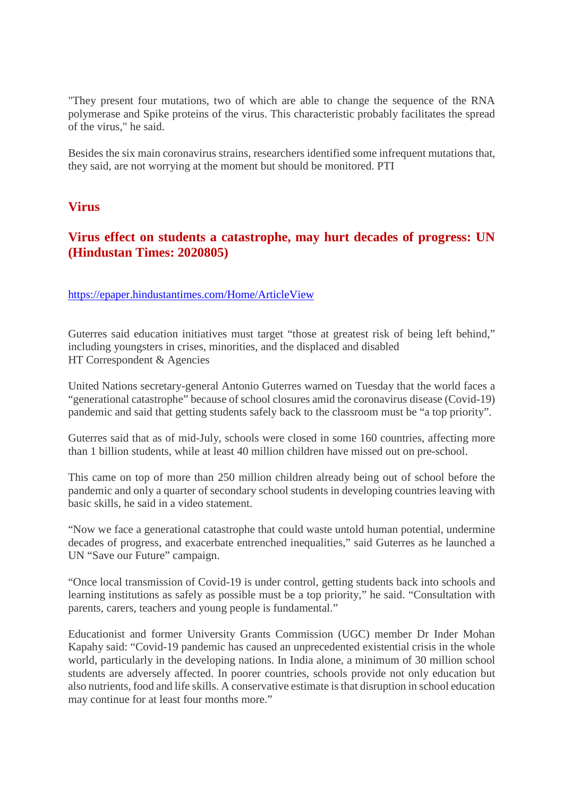"They present four mutations, two of which are able to change the sequence of the RNA polymerase and Spike proteins of the virus. This characteristic probably facilitates the spread of the virus," he said.

Besides the six main coronavirus strains, researchers identified some infrequent mutations that, they said, are not worrying at the moment but should be monitored. PTI

#### **Virus**

#### **Virus effect on students a catastrophe, may hurt decades of progress: UN (Hindustan Times: 2020805)**

https://epaper.hindustantimes.com/Home/ArticleView

Guterres said education initiatives must target "those at greatest risk of being left behind," including youngsters in crises, minorities, and the displaced and disabled HT Correspondent & Agencies

United Nations secretary-general Antonio Guterres warned on Tuesday that the world faces a "generational catastrophe" because of school closures amid the coronavirus disease (Covid-19) pandemic and said that getting students safely back to the classroom must be "a top priority".

Guterres said that as of mid-July, schools were closed in some 160 countries, affecting more than 1 billion students, while at least 40 million children have missed out on pre-school.

This came on top of more than 250 million children already being out of school before the pandemic and only a quarter of secondary school students in developing countries leaving with basic skills, he said in a video statement.

"Now we face a generational catastrophe that could waste untold human potential, undermine decades of progress, and exacerbate entrenched inequalities," said Guterres as he launched a UN "Save our Future" campaign.

"Once local transmission of Covid-19 is under control, getting students back into schools and learning institutions as safely as possible must be a top priority," he said. "Consultation with parents, carers, teachers and young people is fundamental."

Educationist and former University Grants Commission (UGC) member Dr Inder Mohan Kapahy said: "Covid-19 pandemic has caused an unprecedented existential crisis in the whole world, particularly in the developing nations. In India alone, a minimum of 30 million school students are adversely affected. In poorer countries, schools provide not only education but also nutrients, food and life skills. A conservative estimate is that disruption in school education may continue for at least four months more."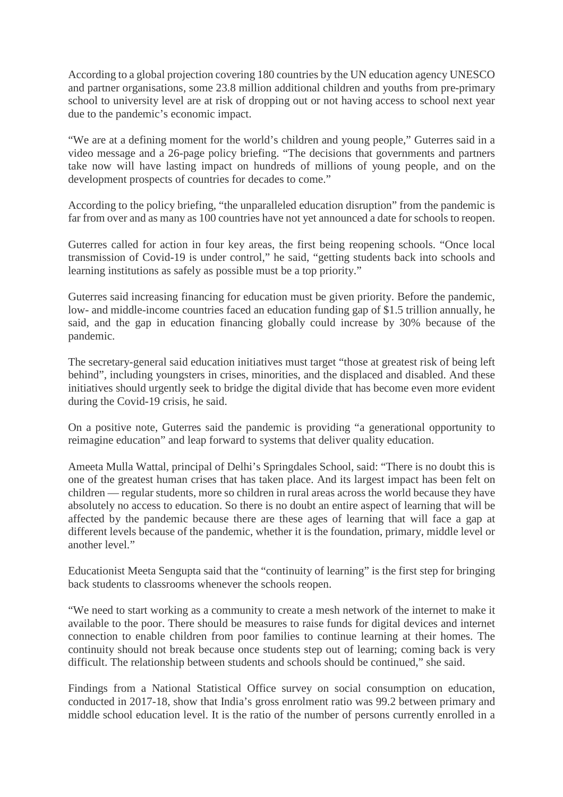According to a global projection covering 180 countries by the UN education agency UNESCO and partner organisations, some 23.8 million additional children and youths from pre-primary school to university level are at risk of dropping out or not having access to school next year due to the pandemic's economic impact.

"We are at a defining moment for the world's children and young people," Guterres said in a video message and a 26-page policy briefing. "The decisions that governments and partners take now will have lasting impact on hundreds of millions of young people, and on the development prospects of countries for decades to come."

According to the policy briefing, "the unparalleled education disruption" from the pandemic is far from over and as many as 100 countries have not yet announced a date for schools to reopen.

Guterres called for action in four key areas, the first being reopening schools. "Once local transmission of Covid-19 is under control," he said, "getting students back into schools and learning institutions as safely as possible must be a top priority."

Guterres said increasing financing for education must be given priority. Before the pandemic, low- and middle-income countries faced an education funding gap of \$1.5 trillion annually, he said, and the gap in education financing globally could increase by 30% because of the pandemic.

The secretary-general said education initiatives must target "those at greatest risk of being left behind", including youngsters in crises, minorities, and the displaced and disabled. And these initiatives should urgently seek to bridge the digital divide that has become even more evident during the Covid-19 crisis, he said.

On a positive note, Guterres said the pandemic is providing "a generational opportunity to reimagine education" and leap forward to systems that deliver quality education.

Ameeta Mulla Wattal, principal of Delhi's Springdales School, said: "There is no doubt this is one of the greatest human crises that has taken place. And its largest impact has been felt on children — regular students, more so children in rural areas across the world because they have absolutely no access to education. So there is no doubt an entire aspect of learning that will be affected by the pandemic because there are these ages of learning that will face a gap at different levels because of the pandemic, whether it is the foundation, primary, middle level or another level."

Educationist Meeta Sengupta said that the "continuity of learning" is the first step for bringing back students to classrooms whenever the schools reopen.

"We need to start working as a community to create a mesh network of the internet to make it available to the poor. There should be measures to raise funds for digital devices and internet connection to enable children from poor families to continue learning at their homes. The continuity should not break because once students step out of learning; coming back is very difficult. The relationship between students and schools should be continued," she said.

Findings from a National Statistical Office survey on social consumption on education, conducted in 2017-18, show that India's gross enrolment ratio was 99.2 between primary and middle school education level. It is the ratio of the number of persons currently enrolled in a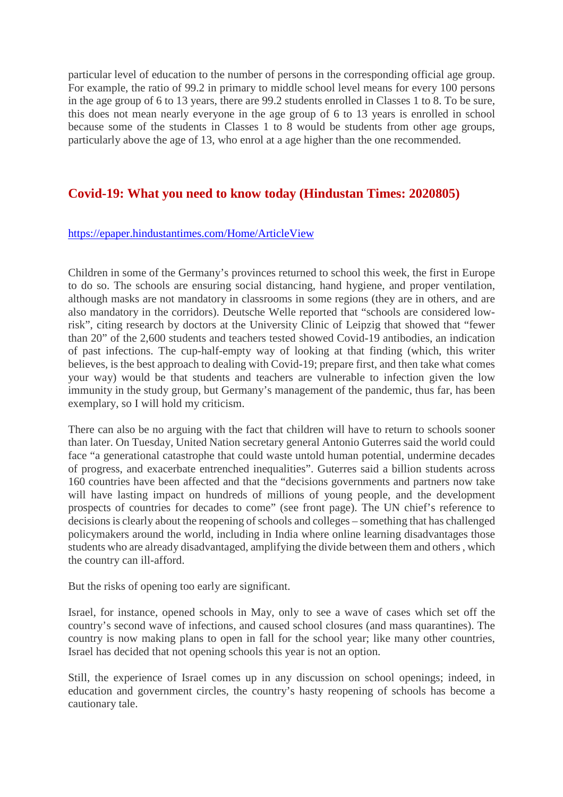particular level of education to the number of persons in the corresponding official age group. For example, the ratio of 99.2 in primary to middle school level means for every 100 persons in the age group of 6 to 13 years, there are 99.2 students enrolled in Classes 1 to 8. To be sure, this does not mean nearly everyone in the age group of 6 to 13 years is enrolled in school because some of the students in Classes 1 to 8 would be students from other age groups, particularly above the age of 13, who enrol at a age higher than the one recommended.

#### **Covid-19: What you need to know today (Hindustan Times: 2020805)**

#### https://epaper.hindustantimes.com/Home/ArticleView

Children in some of the Germany's provinces returned to school this week, the first in Europe to do so. The schools are ensuring social distancing, hand hygiene, and proper ventilation, although masks are not mandatory in classrooms in some regions (they are in others, and are also mandatory in the corridors). Deutsche Welle reported that "schools are considered lowrisk", citing research by doctors at the University Clinic of Leipzig that showed that "fewer than 20" of the 2,600 students and teachers tested showed Covid-19 antibodies, an indication of past infections. The cup-half-empty way of looking at that finding (which, this writer believes, is the best approach to dealing with Covid-19; prepare first, and then take what comes your way) would be that students and teachers are vulnerable to infection given the low immunity in the study group, but Germany's management of the pandemic, thus far, has been exemplary, so I will hold my criticism.

There can also be no arguing with the fact that children will have to return to schools sooner than later. On Tuesday, United Nation secretary general Antonio Guterres said the world could face "a generational catastrophe that could waste untold human potential, undermine decades of progress, and exacerbate entrenched inequalities". Guterres said a billion students across 160 countries have been affected and that the "decisions governments and partners now take will have lasting impact on hundreds of millions of young people, and the development prospects of countries for decades to come" (see front page). The UN chief's reference to decisions is clearly about the reopening of schools and colleges – something that has challenged policymakers around the world, including in India where online learning disadvantages those students who are already disadvantaged, amplifying the divide between them and others , which the country can ill-afford.

But the risks of opening too early are significant.

Israel, for instance, opened schools in May, only to see a wave of cases which set off the country's second wave of infections, and caused school closures (and mass quarantines). The country is now making plans to open in fall for the school year; like many other countries, Israel has decided that not opening schools this year is not an option.

Still, the experience of Israel comes up in any discussion on school openings; indeed, in education and government circles, the country's hasty reopening of schools has become a cautionary tale.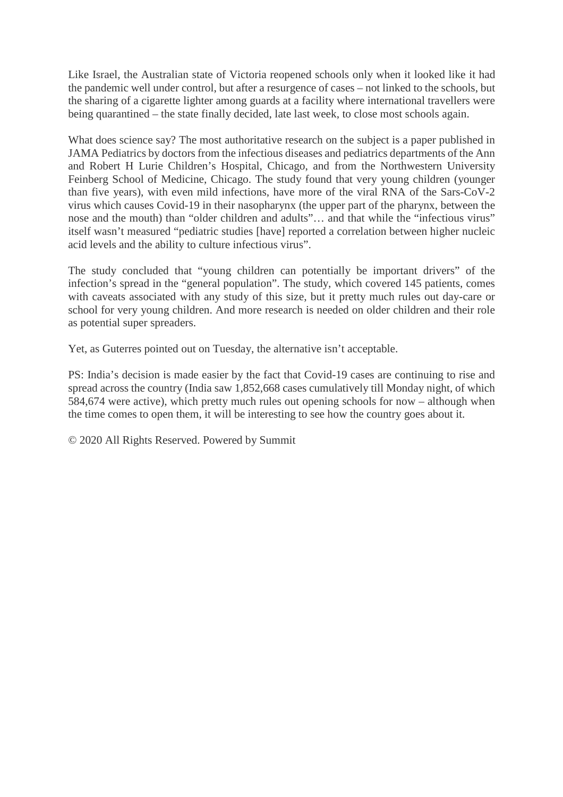Like Israel, the Australian state of Victoria reopened schools only when it looked like it had the pandemic well under control, but after a resurgence of cases – not linked to the schools, but the sharing of a cigarette lighter among guards at a facility where international travellers were being quarantined – the state finally decided, late last week, to close most schools again.

What does science say? The most authoritative research on the subject is a paper published in JAMA Pediatrics by doctors from the infectious diseases and pediatrics departments of the Ann and Robert H Lurie Children's Hospital, Chicago, and from the Northwestern University Feinberg School of Medicine, Chicago. The study found that very young children (younger than five years), with even mild infections, have more of the viral RNA of the Sars-CoV-2 virus which causes Covid-19 in their nasopharynx (the upper part of the pharynx, between the nose and the mouth) than "older children and adults"... and that while the "infectious virus" itself wasn't measured "pediatric studies [have] reported a correlation between higher nucleic acid levels and the ability to culture infectious virus".

The study concluded that "young children can potentially be important drivers" of the infection's spread in the "general population". The study, which covered 145 patients, comes with caveats associated with any study of this size, but it pretty much rules out day-care or school for very young children. And more research is needed on older children and their role as potential super spreaders.

Yet, as Guterres pointed out on Tuesday, the alternative isn't acceptable.

PS: India's decision is made easier by the fact that Covid-19 cases are continuing to rise and spread across the country (India saw 1,852,668 cases cumulatively till Monday night, of which 584,674 were active), which pretty much rules out opening schools for now – although when the time comes to open them, it will be interesting to see how the country goes about it.

© 2020 All Rights Reserved. Powered by Summit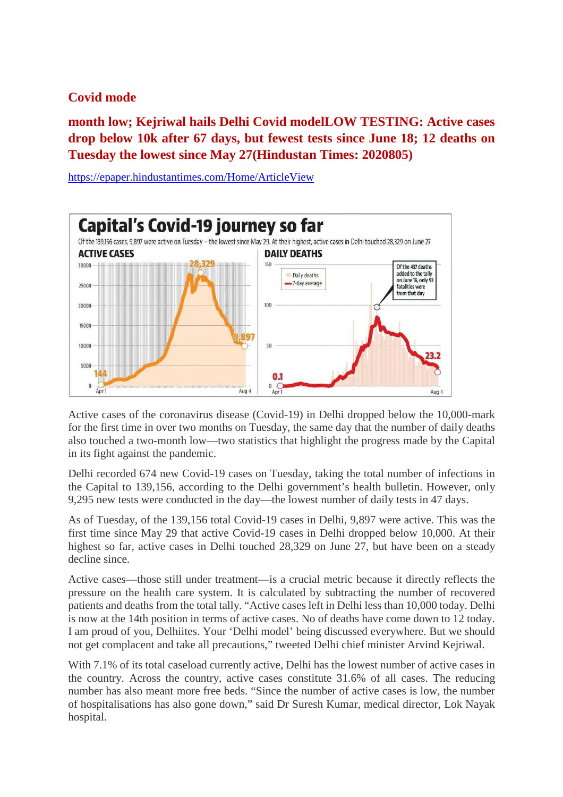# **Covid mode**

**month low; Kejriwal hails Delhi Covid modelLOW TESTING: Active cases drop below 10k after 67 days, but fewest tests since June 18; 12 deaths on Tuesday the lowest since May 27(Hindustan Times: 2020805)**

**Capital's Covid-19 journey so far** Of the 139,156 cases, 9,897 were active on Tuesday - the lowest since May 29. At their highest, active cases in Delhi touched 28,329 on June 27 **ACTIVE CASES DAILY DEATHS**  $150$ 30000 Of the 437 deaths added to the tally Daily deaths on lune 16 only 93 -7-day average 25000 **fatalities** we from that day  $100$ 20000 15000 897 10000  $50^{1}$  $5000$ 144  $0.1$  $\mathbf 0$  $0\nightharpoonup$  Apr 1 Aug 4  $A$ <sub>IIO</sub> $A$ 

https://epaper.hindustantimes.com/Home/ArticleView

Active cases of the coronavirus disease (Covid-19) in Delhi dropped below the 10,000-mark for the first time in over two months on Tuesday, the same day that the number of daily deaths also touched a two-month low—two statistics that highlight the progress made by the Capital in its fight against the pandemic.

Delhi recorded 674 new Covid-19 cases on Tuesday, taking the total number of infections in the Capital to 139,156, according to the Delhi government's health bulletin. However, only 9,295 new tests were conducted in the day—the lowest number of daily tests in 47 days.

As of Tuesday, of the 139,156 total Covid-19 cases in Delhi, 9,897 were active. This was the first time since May 29 that active Covid-19 cases in Delhi dropped below 10,000. At their highest so far, active cases in Delhi touched 28,329 on June 27, but have been on a steady decline since.

Active cases—those still under treatment—is a crucial metric because it directly reflects the pressure on the health care system. It is calculated by subtracting the number of recovered patients and deaths from the total tally. "Active cases left in Delhi less than 10,000 today. Delhi is now at the 14th position in terms of active cases. No of deaths have come down to 12 today. I am proud of you, Delhiites. Your 'Delhi model' being discussed everywhere. But we should not get complacent and take all precautions," tweeted Delhi chief minister Arvind Kejriwal.

With 7.1% of its total caseload currently active, Delhi has the lowest number of active cases in the country. Across the country, active cases constitute 31.6% of all cases. The reducing number has also meant more free beds. "Since the number of active cases is low, the number of hospitalisations has also gone down," said Dr Suresh Kumar, medical director, Lok Nayak hospital.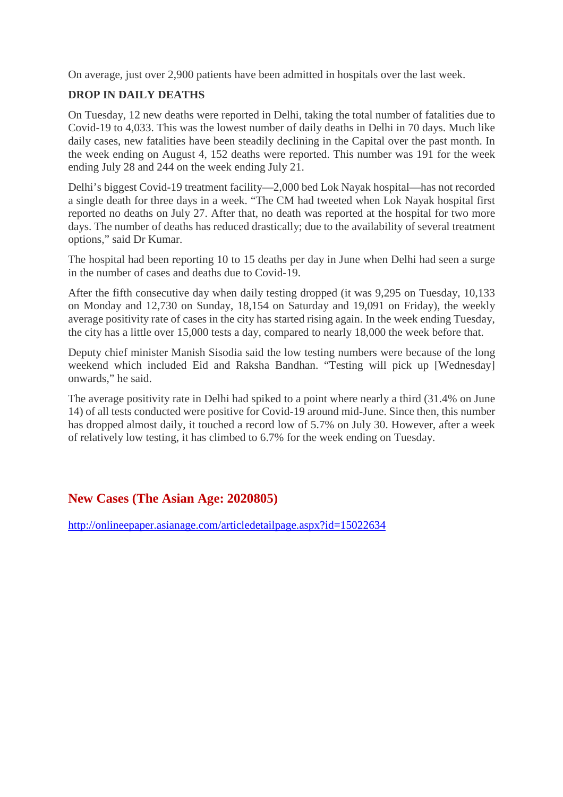On average, just over 2,900 patients have been admitted in hospitals over the last week.

#### **DROP IN DAILY DEATHS**

On Tuesday, 12 new deaths were reported in Delhi, taking the total number of fatalities due to Covid-19 to 4,033. This was the lowest number of daily deaths in Delhi in 70 days. Much like daily cases, new fatalities have been steadily declining in the Capital over the past month. In the week ending on August 4, 152 deaths were reported. This number was 191 for the week ending July 28 and 244 on the week ending July 21.

Delhi's biggest Covid-19 treatment facility—2,000 bed Lok Nayak hospital—has not recorded a single death for three days in a week. "The CM had tweeted when Lok Nayak hospital first reported no deaths on July 27. After that, no death was reported at the hospital for two more days. The number of deaths has reduced drastically; due to the availability of several treatment options," said Dr Kumar.

The hospital had been reporting 10 to 15 deaths per day in June when Delhi had seen a surge in the number of cases and deaths due to Covid-19.

After the fifth consecutive day when daily testing dropped (it was 9,295 on Tuesday, 10,133 on Monday and 12,730 on Sunday, 18,154 on Saturday and 19,091 on Friday), the weekly average positivity rate of cases in the city has started rising again. In the week ending Tuesday, the city has a little over 15,000 tests a day, compared to nearly 18,000 the week before that.

Deputy chief minister Manish Sisodia said the low testing numbers were because of the long weekend which included Eid and Raksha Bandhan. "Testing will pick up [Wednesday] onwards," he said.

The average positivity rate in Delhi had spiked to a point where nearly a third (31.4% on June 14) of all tests conducted were positive for Covid-19 around mid-June. Since then, this number has dropped almost daily, it touched a record low of 5.7% on July 30. However, after a week of relatively low testing, it has climbed to 6.7% for the week ending on Tuesday.

# **New Cases (The Asian Age: 2020805)**

http://onlineepaper.asianage.com/articledetailpage.aspx?id=15022634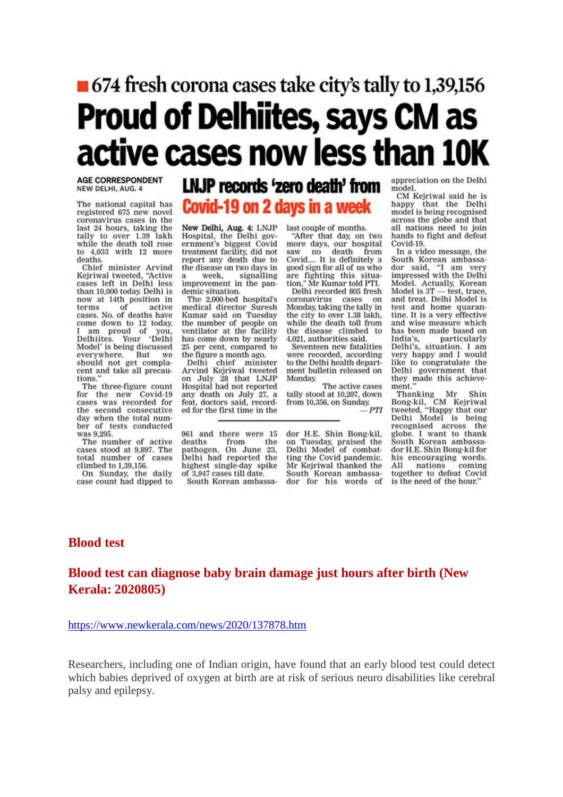# ■ 674 fresh corona cases take city's tally to 1,39,156 **Proud of Delhiites, says CM as** active cases now less than 10K

**AGE CORRESPONDENT** NEW DELHI, AUG. 4

The national capital has registered 675 new novel coronavirus cases in the last 24 hours, taking the tally to over 1.39 lakh while the death toll rose to 4,033 with 12 more deaths.

Chief minister Arvind<br>Kejriwal tweeted, "Active cases left in Delhi less than 10,000 today. Delhi is now at 14th position in<br>terms of active cases. No. of deaths have ome down to 12 today.<br>am proud of you,<br>elhiites. Your 'Delhi come down to 12 today. Delhiites. Model' is being discussed everywhere. But we<br>should not get complawe cent and take all precautions.

The three-figure count for the new Covid-19 cases was recorded for the second consecutive day when the total number of tests conducted was 9,295.

The number of active cases stood at 9,897. The total number of cases climbed to 1,39,156. On Sunday, the daily

case count had dipped to

# LNJP records 'zero death' from Covid-19 on 2 days in a week

New Delhi, Aug. 4: LNJP Hospital, the Delhi government's biggest Covid treatment facility, did not report any death due to the disease on two days in week. signalling improvement in the pan-

demic situation. The 2,000-bed hospital's medical director Suresh Kumar said on Tuesday the number of people on ventilator at the facility<br>has come down by nearly 25 per cent, compared to the figure a month ago.

Delhi chief minister<br>Arvind Kejriwal tweeted on July 28 that LNJP<br>Hospital had not reported any death on July 27, a feat, doctors said, recorded for the first time in the

961 and there were 15 deaths from the<br>pathogen. On June 23, Delhi had reported the highest single-day spike of 3,947 cases till date. South Korean ambassalast couple of months.

"After that day, on two more days, our hospital<br>saw no death from from  $no$ Covid.... It is definitely a good sign for all of us who are fighting this situation," Mr Kumar told PTI.

Delhi recorded 805 fresh coronavirus cases on Monday, taking the tally in the city to over 1.38 lakh, while the death toll from the disease climbed to 4,021, authorities said.

Seventeen new fatalities were recorded, according to the Delhi health department bulletin released on Monday

The active cases tally stood at 10.207, down from 10,356, on Sunday.  $PTI$ 

dor H.E. Shin Bong-kil. on Tuesday, praised the<br>Delhi Model of combatting the Covid pandemic. Mr Kejriwal thanked the South Korean ambassador for his words of appreciation on the Delhi model.

CM Kejriwal said he is happy that the Delhi model is being recognised across the globe and that all nations need to join hands to fight and defeat Covid-19.

In a video message, the South Korean ambassador said, "I am very impressed with the Delhi Model. Actually, Korean Model is 3T - test, trace, and treat. Delhi Model is test and home quarantine. It is a very effective and wise measure which has been made based on India's, particularly Delhi's, situation. I am<br>
very happy and I would like to congratulate the Delhi government that beint government that<br>they made this achieve-<br>ment."

"Thanking Mr Shin<br>Bong-kil, CM Kejriwal<br>tweeted, "Happy that our<br>Delhi Model is being recognised across the globe. I want to thank South Korean ambassador H.E. Shin Bong-kil for his encouraging words.  $A11$ nations coming together to defeat Covid is the need of the hour."

#### **Blood test**

#### **Blood test can diagnose baby brain damage just hours after birth (New Kerala: 2020805)**

#### https://www.newkerala.com/news/2020/137878.htm

Researchers, including one of Indian origin, have found that an early blood test could detect which babies deprived of oxygen at birth are at risk of serious neuro disabilities like cerebral palsy and epilepsy.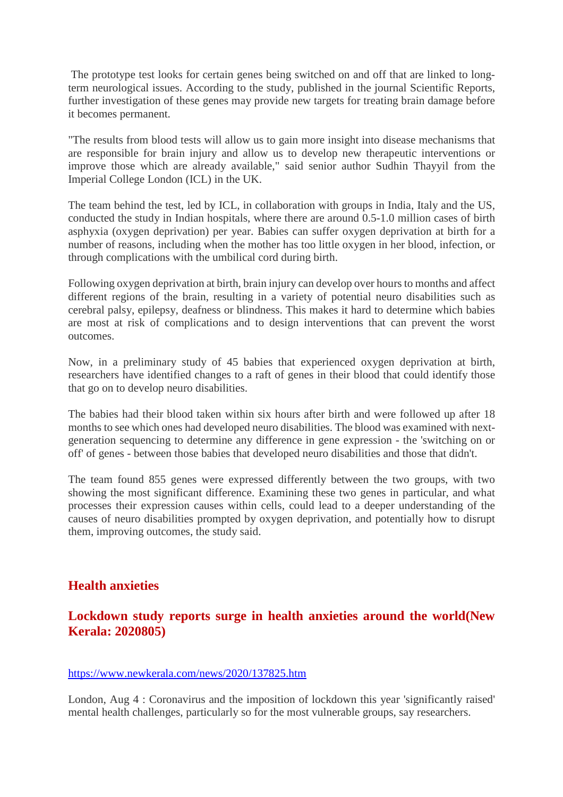The prototype test looks for certain genes being switched on and off that are linked to longterm neurological issues. According to the study, published in the journal Scientific Reports, further investigation of these genes may provide new targets for treating brain damage before it becomes permanent.

"The results from blood tests will allow us to gain more insight into disease mechanisms that are responsible for brain injury and allow us to develop new therapeutic interventions or improve those which are already available," said senior author Sudhin Thayyil from the Imperial College London (ICL) in the UK.

The team behind the test, led by ICL, in collaboration with groups in India, Italy and the US, conducted the study in Indian hospitals, where there are around 0.5-1.0 million cases of birth asphyxia (oxygen deprivation) per year. Babies can suffer oxygen deprivation at birth for a number of reasons, including when the mother has too little oxygen in her blood, infection, or through complications with the umbilical cord during birth.

Following oxygen deprivation at birth, brain injury can develop over hours to months and affect different regions of the brain, resulting in a variety of potential neuro disabilities such as cerebral palsy, epilepsy, deafness or blindness. This makes it hard to determine which babies are most at risk of complications and to design interventions that can prevent the worst outcomes.

Now, in a preliminary study of 45 babies that experienced oxygen deprivation at birth, researchers have identified changes to a raft of genes in their blood that could identify those that go on to develop neuro disabilities.

The babies had their blood taken within six hours after birth and were followed up after 18 months to see which ones had developed neuro disabilities. The blood was examined with nextgeneration sequencing to determine any difference in gene expression - the 'switching on or off' of genes - between those babies that developed neuro disabilities and those that didn't.

The team found 855 genes were expressed differently between the two groups, with two showing the most significant difference. Examining these two genes in particular, and what processes their expression causes within cells, could lead to a deeper understanding of the causes of neuro disabilities prompted by oxygen deprivation, and potentially how to disrupt them, improving outcomes, the study said.

#### **Health anxieties**

#### **Lockdown study reports surge in health anxieties around the world(New Kerala: 2020805)**

#### https://www.newkerala.com/news/2020/137825.htm

London, Aug 4 : Coronavirus and the imposition of lockdown this year 'significantly raised' mental health challenges, particularly so for the most vulnerable groups, say researchers.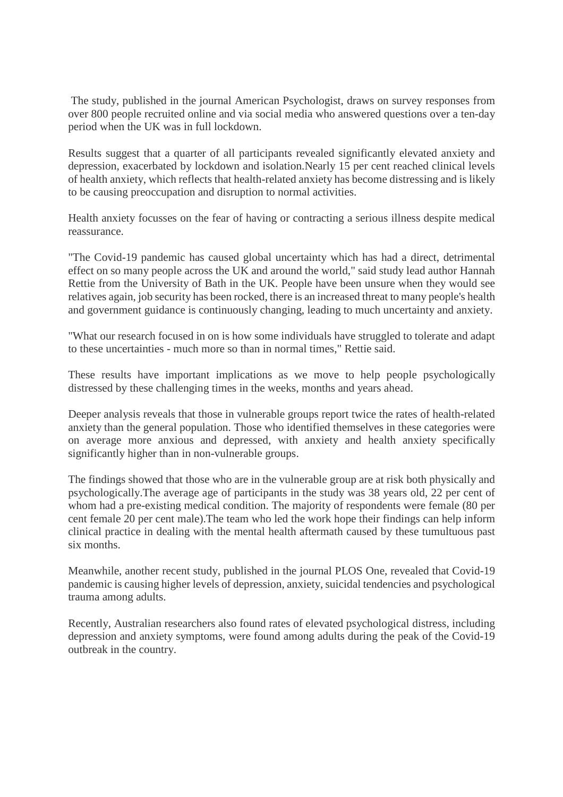The study, published in the journal American Psychologist, draws on survey responses from over 800 people recruited online and via social media who answered questions over a ten-day period when the UK was in full lockdown.

Results suggest that a quarter of all participants revealed significantly elevated anxiety and depression, exacerbated by lockdown and isolation.Nearly 15 per cent reached clinical levels of health anxiety, which reflects that health-related anxiety has become distressing and is likely to be causing preoccupation and disruption to normal activities.

Health anxiety focusses on the fear of having or contracting a serious illness despite medical reassurance.

"The Covid-19 pandemic has caused global uncertainty which has had a direct, detrimental effect on so many people across the UK and around the world," said study lead author Hannah Rettie from the University of Bath in the UK. People have been unsure when they would see relatives again, job security has been rocked, there is an increased threat to many people's health and government guidance is continuously changing, leading to much uncertainty and anxiety.

"What our research focused in on is how some individuals have struggled to tolerate and adapt to these uncertainties - much more so than in normal times," Rettie said.

These results have important implications as we move to help people psychologically distressed by these challenging times in the weeks, months and years ahead.

Deeper analysis reveals that those in vulnerable groups report twice the rates of health-related anxiety than the general population. Those who identified themselves in these categories were on average more anxious and depressed, with anxiety and health anxiety specifically significantly higher than in non-vulnerable groups.

The findings showed that those who are in the vulnerable group are at risk both physically and psychologically.The average age of participants in the study was 38 years old, 22 per cent of whom had a pre-existing medical condition. The majority of respondents were female (80 per cent female 20 per cent male).The team who led the work hope their findings can help inform clinical practice in dealing with the mental health aftermath caused by these tumultuous past six months.

Meanwhile, another recent study, published in the journal PLOS One, revealed that Covid-19 pandemic is causing higher levels of depression, anxiety, suicidal tendencies and psychological trauma among adults.

Recently, Australian researchers also found rates of elevated psychological distress, including depression and anxiety symptoms, were found among adults during the peak of the Covid-19 outbreak in the country.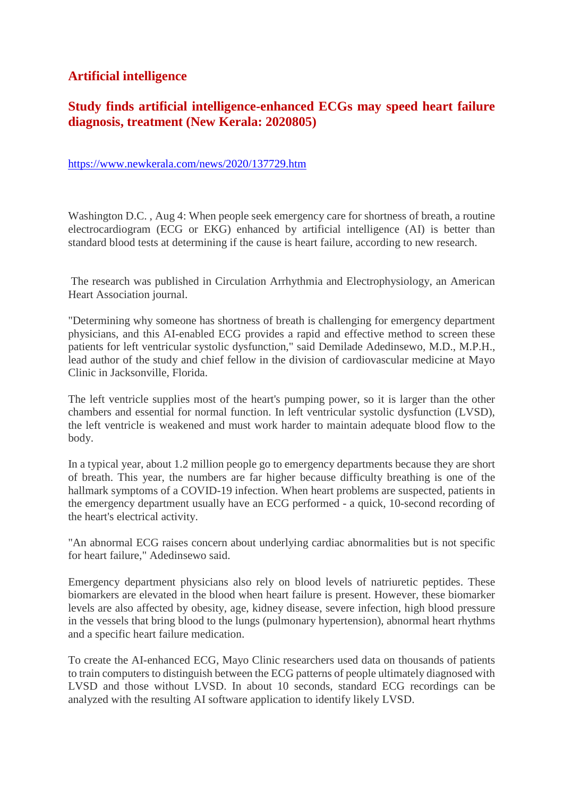#### **Artificial intelligence**

# **Study finds artificial intelligence-enhanced ECGs may speed heart failure diagnosis, treatment (New Kerala: 2020805)**

https://www.newkerala.com/news/2020/137729.htm

Washington D.C., Aug 4: When people seek emergency care for shortness of breath, a routine electrocardiogram (ECG or EKG) enhanced by artificial intelligence (AI) is better than standard blood tests at determining if the cause is heart failure, according to new research.

The research was published in Circulation Arrhythmia and Electrophysiology, an American Heart Association journal.

"Determining why someone has shortness of breath is challenging for emergency department physicians, and this AI-enabled ECG provides a rapid and effective method to screen these patients for left ventricular systolic dysfunction," said Demilade Adedinsewo, M.D., M.P.H., lead author of the study and chief fellow in the division of cardiovascular medicine at Mayo Clinic in Jacksonville, Florida.

The left ventricle supplies most of the heart's pumping power, so it is larger than the other chambers and essential for normal function. In left ventricular systolic dysfunction (LVSD), the left ventricle is weakened and must work harder to maintain adequate blood flow to the body.

In a typical year, about 1.2 million people go to emergency departments because they are short of breath. This year, the numbers are far higher because difficulty breathing is one of the hallmark symptoms of a COVID-19 infection. When heart problems are suspected, patients in the emergency department usually have an ECG performed - a quick, 10-second recording of the heart's electrical activity.

"An abnormal ECG raises concern about underlying cardiac abnormalities but is not specific for heart failure," Adedinsewo said.

Emergency department physicians also rely on blood levels of natriuretic peptides. These biomarkers are elevated in the blood when heart failure is present. However, these biomarker levels are also affected by obesity, age, kidney disease, severe infection, high blood pressure in the vessels that bring blood to the lungs (pulmonary hypertension), abnormal heart rhythms and a specific heart failure medication.

To create the AI-enhanced ECG, Mayo Clinic researchers used data on thousands of patients to train computers to distinguish between the ECG patterns of people ultimately diagnosed with LVSD and those without LVSD. In about 10 seconds, standard ECG recordings can be analyzed with the resulting AI software application to identify likely LVSD.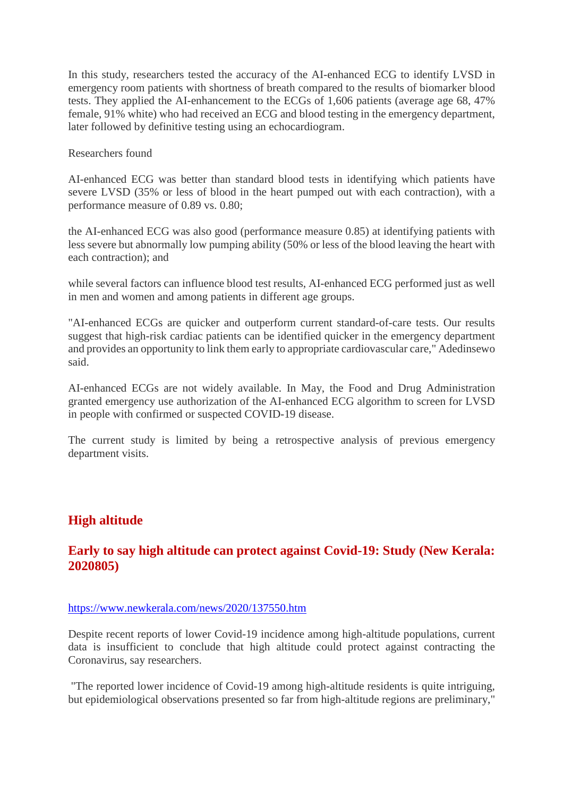In this study, researchers tested the accuracy of the AI-enhanced ECG to identify LVSD in emergency room patients with shortness of breath compared to the results of biomarker blood tests. They applied the AI-enhancement to the ECGs of 1,606 patients (average age 68, 47% female, 91% white) who had received an ECG and blood testing in the emergency department, later followed by definitive testing using an echocardiogram.

Researchers found

AI-enhanced ECG was better than standard blood tests in identifying which patients have severe LVSD (35% or less of blood in the heart pumped out with each contraction), with a performance measure of 0.89 vs. 0.80;

the AI-enhanced ECG was also good (performance measure 0.85) at identifying patients with less severe but abnormally low pumping ability (50% or less of the blood leaving the heart with each contraction); and

while several factors can influence blood test results, AI-enhanced ECG performed just as well in men and women and among patients in different age groups.

"AI-enhanced ECGs are quicker and outperform current standard-of-care tests. Our results suggest that high-risk cardiac patients can be identified quicker in the emergency department and provides an opportunity to link them early to appropriate cardiovascular care," Adedinsewo said.

AI-enhanced ECGs are not widely available. In May, the Food and Drug Administration granted emergency use authorization of the AI-enhanced ECG algorithm to screen for LVSD in people with confirmed or suspected COVID-19 disease.

The current study is limited by being a retrospective analysis of previous emergency department visits.

#### **High altitude**

#### **Early to say high altitude can protect against Covid-19: Study (New Kerala: 2020805)**

#### https://www.newkerala.com/news/2020/137550.htm

Despite recent reports of lower Covid-19 incidence among high-altitude populations, current data is insufficient to conclude that high altitude could protect against contracting the Coronavirus, say researchers.

"The reported lower incidence of Covid-19 among high-altitude residents is quite intriguing, but epidemiological observations presented so far from high-altitude regions are preliminary,"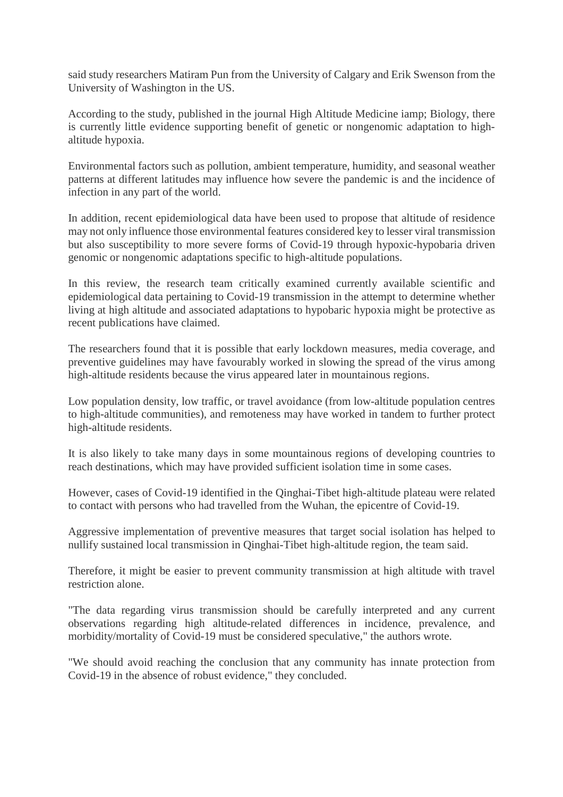said study researchers Matiram Pun from the University of Calgary and Erik Swenson from the University of Washington in the US.

According to the study, published in the journal High Altitude Medicine iamp; Biology, there is currently little evidence supporting benefit of genetic or nongenomic adaptation to highaltitude hypoxia.

Environmental factors such as pollution, ambient temperature, humidity, and seasonal weather patterns at different latitudes may influence how severe the pandemic is and the incidence of infection in any part of the world.

In addition, recent epidemiological data have been used to propose that altitude of residence may not only influence those environmental features considered key to lesser viral transmission but also susceptibility to more severe forms of Covid-19 through hypoxic-hypobaria driven genomic or nongenomic adaptations specific to high-altitude populations.

In this review, the research team critically examined currently available scientific and epidemiological data pertaining to Covid-19 transmission in the attempt to determine whether living at high altitude and associated adaptations to hypobaric hypoxia might be protective as recent publications have claimed.

The researchers found that it is possible that early lockdown measures, media coverage, and preventive guidelines may have favourably worked in slowing the spread of the virus among high-altitude residents because the virus appeared later in mountainous regions.

Low population density, low traffic, or travel avoidance (from low-altitude population centres to high-altitude communities), and remoteness may have worked in tandem to further protect high-altitude residents.

It is also likely to take many days in some mountainous regions of developing countries to reach destinations, which may have provided sufficient isolation time in some cases.

However, cases of Covid-19 identified in the Qinghai-Tibet high-altitude plateau were related to contact with persons who had travelled from the Wuhan, the epicentre of Covid-19.

Aggressive implementation of preventive measures that target social isolation has helped to nullify sustained local transmission in Qinghai-Tibet high-altitude region, the team said.

Therefore, it might be easier to prevent community transmission at high altitude with travel restriction alone.

"The data regarding virus transmission should be carefully interpreted and any current observations regarding high altitude-related differences in incidence, prevalence, and morbidity/mortality of Covid-19 must be considered speculative," the authors wrote.

"We should avoid reaching the conclusion that any community has innate protection from Covid-19 in the absence of robust evidence," they concluded.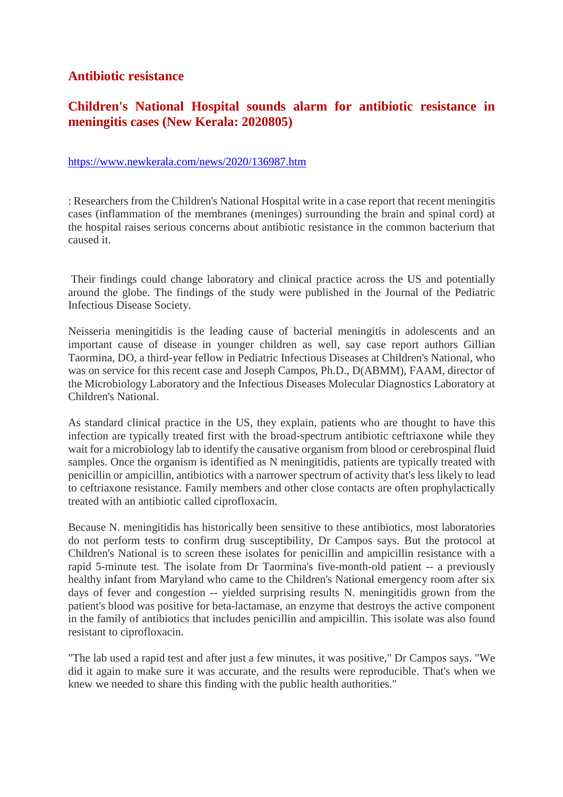#### **Antibiotic resistance**

# **Children's National Hospital sounds alarm for antibiotic resistance in meningitis cases (New Kerala: 2020805)**

#### https://www.newkerala.com/news/2020/136987.htm

: Researchers from the Children's National Hospital write in a case report that recent meningitis cases (inflammation of the membranes (meninges) surrounding the brain and spinal cord) at the hospital raises serious concerns about antibiotic resistance in the common bacterium that caused it.

Their findings could change laboratory and clinical practice across the US and potentially around the globe. The findings of the study were published in the Journal of the Pediatric Infectious Disease Society.

Neisseria meningitidis is the leading cause of bacterial meningitis in adolescents and an important cause of disease in younger children as well, say case report authors Gillian Taormina, DO, a third-year fellow in Pediatric Infectious Diseases at Children's National, who was on service for this recent case and Joseph Campos, Ph.D., D(ABMM), FAAM, director of the Microbiology Laboratory and the Infectious Diseases Molecular Diagnostics Laboratory at Children's National.

As standard clinical practice in the US, they explain, patients who are thought to have this infection are typically treated first with the broad-spectrum antibiotic ceftriaxone while they wait for a microbiology lab to identify the causative organism from blood or cerebrospinal fluid samples. Once the organism is identified as N meningitidis, patients are typically treated with penicillin or ampicillin, antibiotics with a narrower spectrum of activity that's less likely to lead to ceftriaxone resistance. Family members and other close contacts are often prophylactically treated with an antibiotic called ciprofloxacin.

Because N. meningitidis has historically been sensitive to these antibiotics, most laboratories do not perform tests to confirm drug susceptibility, Dr Campos says. But the protocol at Children's National is to screen these isolates for penicillin and ampicillin resistance with a rapid 5-minute test. The isolate from Dr Taormina's five-month-old patient -- a previously healthy infant from Maryland who came to the Children's National emergency room after six days of fever and congestion -- yielded surprising results N. meningitidis grown from the patient's blood was positive for beta-lactamase, an enzyme that destroys the active component in the family of antibiotics that includes penicillin and ampicillin. This isolate was also found resistant to ciprofloxacin.

"The lab used a rapid test and after just a few minutes, it was positive," Dr Campos says. "We did it again to make sure it was accurate, and the results were reproducible. That's when we knew we needed to share this finding with the public health authorities."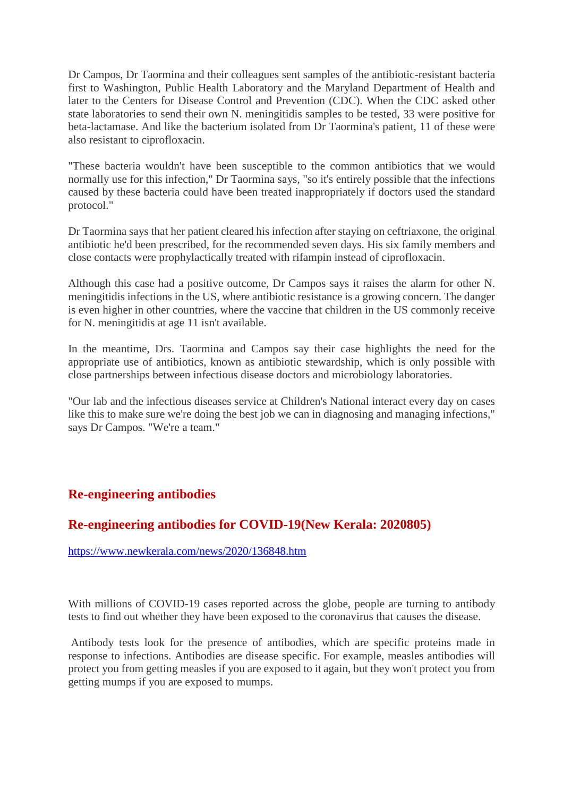Dr Campos, Dr Taormina and their colleagues sent samples of the antibiotic-resistant bacteria first to Washington, Public Health Laboratory and the Maryland Department of Health and later to the Centers for Disease Control and Prevention (CDC). When the CDC asked other state laboratories to send their own N. meningitidis samples to be tested, 33 were positive for beta-lactamase. And like the bacterium isolated from Dr Taormina's patient, 11 of these were also resistant to ciprofloxacin.

"These bacteria wouldn't have been susceptible to the common antibiotics that we would normally use for this infection," Dr Taormina says, "so it's entirely possible that the infections caused by these bacteria could have been treated inappropriately if doctors used the standard protocol."

Dr Taormina says that her patient cleared his infection after staying on ceftriaxone, the original antibiotic he'd been prescribed, for the recommended seven days. His six family members and close contacts were prophylactically treated with rifampin instead of ciprofloxacin.

Although this case had a positive outcome, Dr Campos says it raises the alarm for other N. meningitidis infections in the US, where antibiotic resistance is a growing concern. The danger is even higher in other countries, where the vaccine that children in the US commonly receive for N. meningitidis at age 11 isn't available.

In the meantime, Drs. Taormina and Campos say their case highlights the need for the appropriate use of antibiotics, known as antibiotic stewardship, which is only possible with close partnerships between infectious disease doctors and microbiology laboratories.

"Our lab and the infectious diseases service at Children's National interact every day on cases like this to make sure we're doing the best job we can in diagnosing and managing infections," says Dr Campos. "We're a team."

# **Re-engineering antibodies**

#### **Re-engineering antibodies for COVID-19(New Kerala: 2020805)**

https://www.newkerala.com/news/2020/136848.htm

With millions of COVID-19 cases reported across the globe, people are turning to antibody tests to find out whether they have been exposed to the coronavirus that causes the disease.

Antibody tests look for the presence of antibodies, which are specific proteins made in response to infections. Antibodies are disease specific. For example, measles antibodies will protect you from getting measles if you are exposed to it again, but they won't protect you from getting mumps if you are exposed to mumps.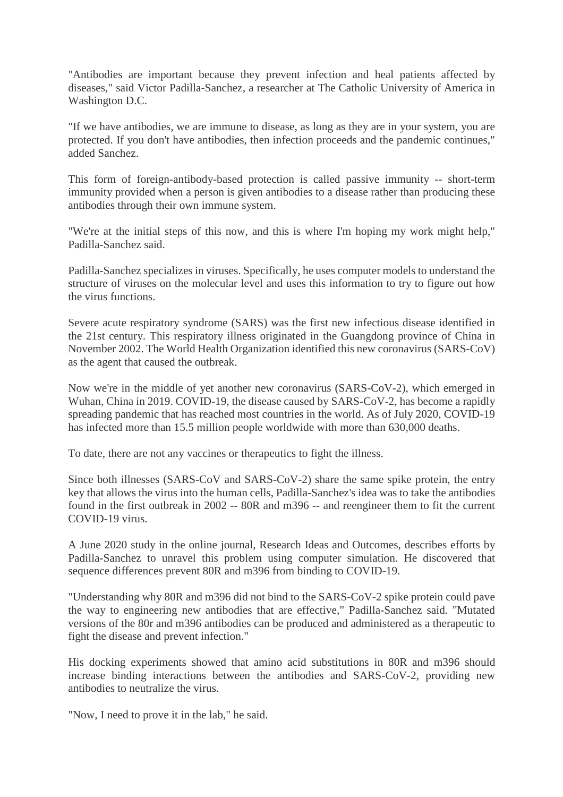"Antibodies are important because they prevent infection and heal patients affected by diseases," said Victor Padilla-Sanchez, a researcher at The Catholic University of America in Washington D.C.

"If we have antibodies, we are immune to disease, as long as they are in your system, you are protected. If you don't have antibodies, then infection proceeds and the pandemic continues," added Sanchez.

This form of foreign-antibody-based protection is called passive immunity -- short-term immunity provided when a person is given antibodies to a disease rather than producing these antibodies through their own immune system.

"We're at the initial steps of this now, and this is where I'm hoping my work might help," Padilla-Sanchez said.

Padilla-Sanchez specializes in viruses. Specifically, he uses computer models to understand the structure of viruses on the molecular level and uses this information to try to figure out how the virus functions.

Severe acute respiratory syndrome (SARS) was the first new infectious disease identified in the 21st century. This respiratory illness originated in the Guangdong province of China in November 2002. The World Health Organization identified this new coronavirus (SARS-CoV) as the agent that caused the outbreak.

Now we're in the middle of yet another new coronavirus (SARS-CoV-2), which emerged in Wuhan, China in 2019. COVID-19, the disease caused by SARS-CoV-2, has become a rapidly spreading pandemic that has reached most countries in the world. As of July 2020, COVID-19 has infected more than 15.5 million people worldwide with more than 630,000 deaths.

To date, there are not any vaccines or therapeutics to fight the illness.

Since both illnesses (SARS-CoV and SARS-CoV-2) share the same spike protein, the entry key that allows the virus into the human cells, Padilla-Sanchez's idea was to take the antibodies found in the first outbreak in 2002 -- 80R and m396 -- and reengineer them to fit the current COVID-19 virus.

A June 2020 study in the online journal, Research Ideas and Outcomes, describes efforts by Padilla-Sanchez to unravel this problem using computer simulation. He discovered that sequence differences prevent 80R and m396 from binding to COVID-19.

"Understanding why 80R and m396 did not bind to the SARS-CoV-2 spike protein could pave the way to engineering new antibodies that are effective," Padilla-Sanchez said. "Mutated versions of the 80r and m396 antibodies can be produced and administered as a therapeutic to fight the disease and prevent infection."

His docking experiments showed that amino acid substitutions in 80R and m396 should increase binding interactions between the antibodies and SARS-CoV-2, providing new antibodies to neutralize the virus.

"Now, I need to prove it in the lab," he said.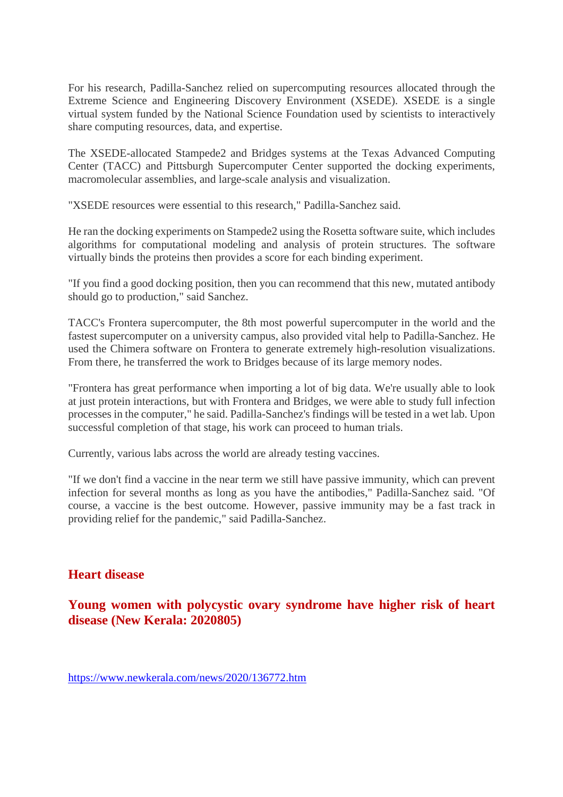For his research, Padilla-Sanchez relied on supercomputing resources allocated through the Extreme Science and Engineering Discovery Environment (XSEDE). XSEDE is a single virtual system funded by the National Science Foundation used by scientists to interactively share computing resources, data, and expertise.

The XSEDE-allocated Stampede2 and Bridges systems at the Texas Advanced Computing Center (TACC) and Pittsburgh Supercomputer Center supported the docking experiments, macromolecular assemblies, and large-scale analysis and visualization.

"XSEDE resources were essential to this research," Padilla-Sanchez said.

He ran the docking experiments on Stampede2 using the Rosetta software suite, which includes algorithms for computational modeling and analysis of protein structures. The software virtually binds the proteins then provides a score for each binding experiment.

"If you find a good docking position, then you can recommend that this new, mutated antibody should go to production," said Sanchez.

TACC's Frontera supercomputer, the 8th most powerful supercomputer in the world and the fastest supercomputer on a university campus, also provided vital help to Padilla-Sanchez. He used the Chimera software on Frontera to generate extremely high-resolution visualizations. From there, he transferred the work to Bridges because of its large memory nodes.

"Frontera has great performance when importing a lot of big data. We're usually able to look at just protein interactions, but with Frontera and Bridges, we were able to study full infection processes in the computer," he said. Padilla-Sanchez's findings will be tested in a wet lab. Upon successful completion of that stage, his work can proceed to human trials.

Currently, various labs across the world are already testing vaccines.

"If we don't find a vaccine in the near term we still have passive immunity, which can prevent infection for several months as long as you have the antibodies," Padilla-Sanchez said. "Of course, a vaccine is the best outcome. However, passive immunity may be a fast track in providing relief for the pandemic," said Padilla-Sanchez.

#### **Heart disease**

**Young women with polycystic ovary syndrome have higher risk of heart disease (New Kerala: 2020805)**

https://www.newkerala.com/news/2020/136772.htm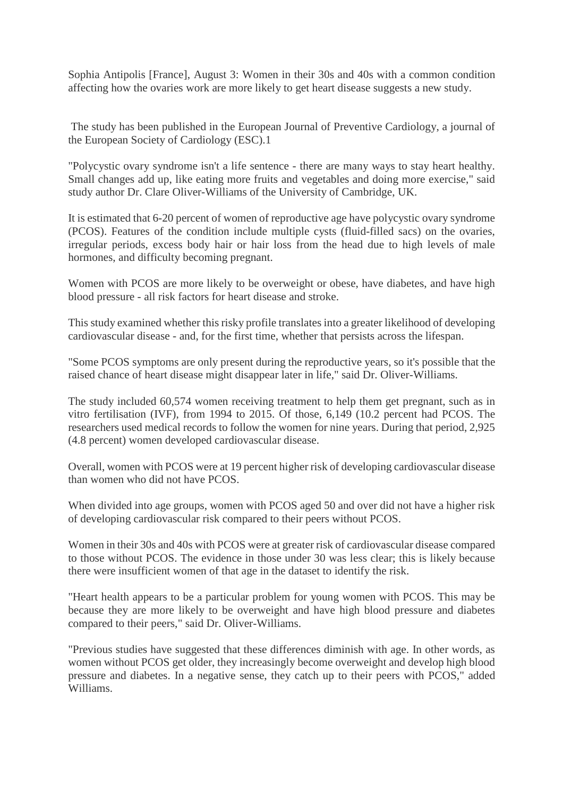Sophia Antipolis [France], August 3: Women in their 30s and 40s with a common condition affecting how the ovaries work are more likely to get heart disease suggests a new study.

The study has been published in the European Journal of Preventive Cardiology, a journal of the European Society of Cardiology (ESC).1

"Polycystic ovary syndrome isn't a life sentence - there are many ways to stay heart healthy. Small changes add up, like eating more fruits and vegetables and doing more exercise," said study author Dr. Clare Oliver-Williams of the University of Cambridge, UK.

It is estimated that 6-20 percent of women of reproductive age have polycystic ovary syndrome (PCOS). Features of the condition include multiple cysts (fluid-filled sacs) on the ovaries, irregular periods, excess body hair or hair loss from the head due to high levels of male hormones, and difficulty becoming pregnant.

Women with PCOS are more likely to be overweight or obese, have diabetes, and have high blood pressure - all risk factors for heart disease and stroke.

This study examined whether this risky profile translates into a greater likelihood of developing cardiovascular disease - and, for the first time, whether that persists across the lifespan.

"Some PCOS symptoms are only present during the reproductive years, so it's possible that the raised chance of heart disease might disappear later in life," said Dr. Oliver-Williams.

The study included 60,574 women receiving treatment to help them get pregnant, such as in vitro fertilisation (IVF), from 1994 to 2015. Of those, 6,149 (10.2 percent had PCOS. The researchers used medical records to follow the women for nine years. During that period, 2,925 (4.8 percent) women developed cardiovascular disease.

Overall, women with PCOS were at 19 percent higher risk of developing cardiovascular disease than women who did not have PCOS.

When divided into age groups, women with PCOS aged 50 and over did not have a higher risk of developing cardiovascular risk compared to their peers without PCOS.

Women in their 30s and 40s with PCOS were at greater risk of cardiovascular disease compared to those without PCOS. The evidence in those under 30 was less clear; this is likely because there were insufficient women of that age in the dataset to identify the risk.

"Heart health appears to be a particular problem for young women with PCOS. This may be because they are more likely to be overweight and have high blood pressure and diabetes compared to their peers," said Dr. Oliver-Williams.

"Previous studies have suggested that these differences diminish with age. In other words, as women without PCOS get older, they increasingly become overweight and develop high blood pressure and diabetes. In a negative sense, they catch up to their peers with PCOS," added Williams.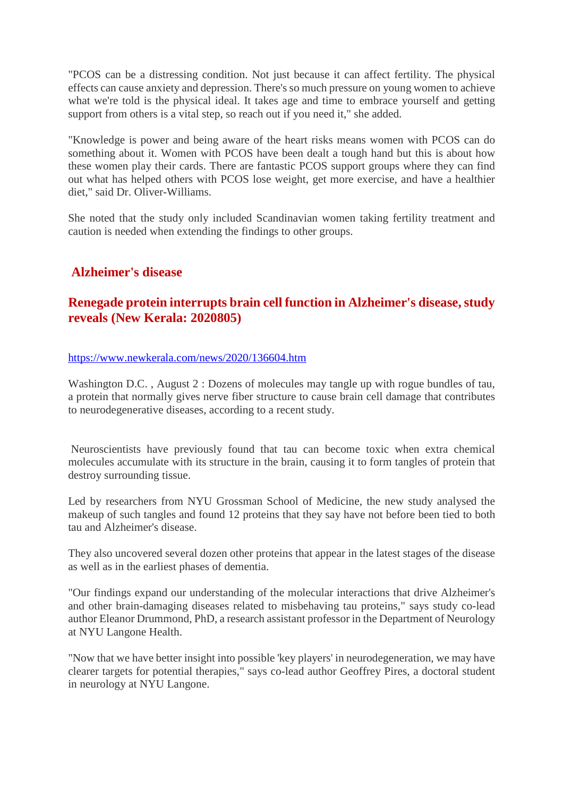"PCOS can be a distressing condition. Not just because it can affect fertility. The physical effects can cause anxiety and depression. There's so much pressure on young women to achieve what we're told is the physical ideal. It takes age and time to embrace yourself and getting support from others is a vital step, so reach out if you need it," she added.

"Knowledge is power and being aware of the heart risks means women with PCOS can do something about it. Women with PCOS have been dealt a tough hand but this is about how these women play their cards. There are fantastic PCOS support groups where they can find out what has helped others with PCOS lose weight, get more exercise, and have a healthier diet," said Dr. Oliver-Williams.

She noted that the study only included Scandinavian women taking fertility treatment and caution is needed when extending the findings to other groups.

# **Alzheimer's disease**

#### **Renegade protein interrupts brain cell function in Alzheimer's disease, study reveals (New Kerala: 2020805)**

#### https://www.newkerala.com/news/2020/136604.htm

Washington D.C., August 2 : Dozens of molecules may tangle up with rogue bundles of tau, a protein that normally gives nerve fiber structure to cause brain cell damage that contributes to neurodegenerative diseases, according to a recent study.

Neuroscientists have previously found that tau can become toxic when extra chemical molecules accumulate with its structure in the brain, causing it to form tangles of protein that destroy surrounding tissue.

Led by researchers from NYU Grossman School of Medicine, the new study analysed the makeup of such tangles and found 12 proteins that they say have not before been tied to both tau and Alzheimer's disease.

They also uncovered several dozen other proteins that appear in the latest stages of the disease as well as in the earliest phases of dementia.

"Our findings expand our understanding of the molecular interactions that drive Alzheimer's and other brain-damaging diseases related to misbehaving tau proteins," says study co-lead author Eleanor Drummond, PhD, a research assistant professor in the Department of Neurology at NYU Langone Health.

"Now that we have better insight into possible 'key players' in neurodegeneration, we may have clearer targets for potential therapies," says co-lead author Geoffrey Pires, a doctoral student in neurology at NYU Langone.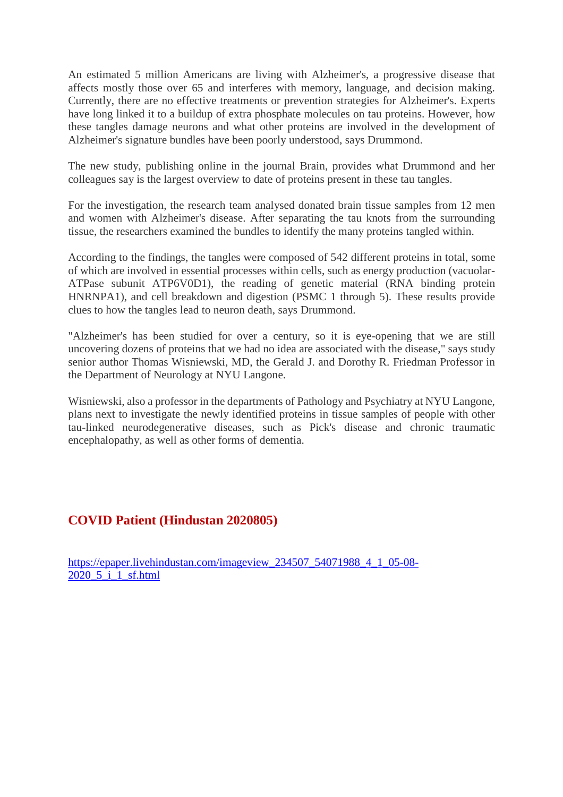An estimated 5 million Americans are living with Alzheimer's, a progressive disease that affects mostly those over 65 and interferes with memory, language, and decision making. Currently, there are no effective treatments or prevention strategies for Alzheimer's. Experts have long linked it to a buildup of extra phosphate molecules on tau proteins. However, how these tangles damage neurons and what other proteins are involved in the development of Alzheimer's signature bundles have been poorly understood, says Drummond.

The new study, publishing online in the journal Brain, provides what Drummond and her colleagues say is the largest overview to date of proteins present in these tau tangles.

For the investigation, the research team analysed donated brain tissue samples from 12 men and women with Alzheimer's disease. After separating the tau knots from the surrounding tissue, the researchers examined the bundles to identify the many proteins tangled within.

According to the findings, the tangles were composed of 542 different proteins in total, some of which are involved in essential processes within cells, such as energy production (vacuolar-ATPase subunit ATP6V0D1), the reading of genetic material (RNA binding protein HNRNPA1), and cell breakdown and digestion (PSMC 1 through 5). These results provide clues to how the tangles lead to neuron death, says Drummond.

"Alzheimer's has been studied for over a century, so it is eye-opening that we are still uncovering dozens of proteins that we had no idea are associated with the disease," says study senior author Thomas Wisniewski, MD, the Gerald J. and Dorothy R. Friedman Professor in the Department of Neurology at NYU Langone.

Wisniewski, also a professor in the departments of Pathology and Psychiatry at NYU Langone, plans next to investigate the newly identified proteins in tissue samples of people with other tau-linked neurodegenerative diseases, such as Pick's disease and chronic traumatic encephalopathy, as well as other forms of dementia.

#### **COVID Patient (Hindustan 2020805)**

https://epaper.livehindustan.com/imageview\_234507\_54071988\_4\_1\_05-08-2020 5 i 1 sf.html